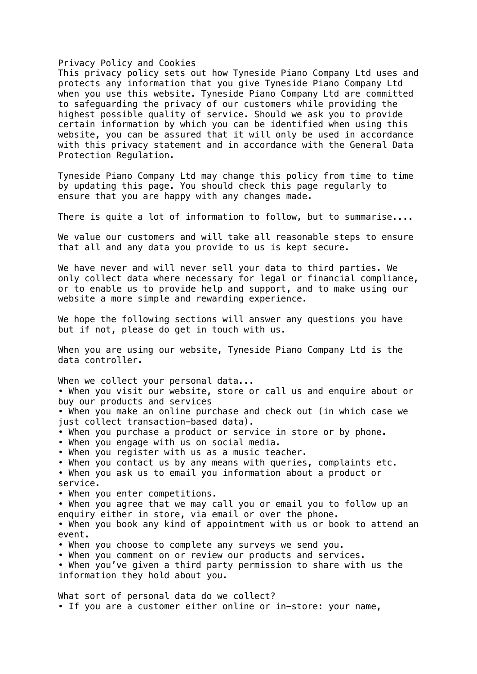#### Privacy Policy and Cookies

This privacy policy sets out how Tyneside Piano Company Ltd uses and protects any information that you give Tyneside Piano Company Ltd when you use this website. Tyneside Piano Company Ltd are committed to safeguarding the privacy of our customers while providing the highest possible quality of service. Should we ask you to provide certain information by which you can be identified when using this website, you can be assured that it will only be used in accordance with this privacy statement and in accordance with the General Data Protection Regulation.

Tyneside Piano Company Ltd may change this policy from time to time by updating this page. You should check this page regularly to ensure that you are happy with any changes made.

There is quite a lot of information to follow, but to summarise....

We value our customers and will take all reasonable steps to ensure that all and any data you provide to us is kept secure.

We have never and will never sell your data to third parties. We only collect data where necessary for legal or financial compliance, or to enable us to provide help and support, and to make using our website a more simple and rewarding experience.

We hope the following sections will answer any questions you have but if not, please do get in touch with us.

When you are using our website, Tyneside Piano Company Ltd is the data controller.

When we collect your personal data...

• When you visit our website, store or call us and enquire about or buy our products and services

• When you make an online purchase and check out (in which case we just collect transaction-based data).

- When you purchase a product or service in store or by phone.
- When you engage with us on social media.
- When you register with us as a music teacher.
- When you contact us by any means with queries, complaints etc.

• When you ask us to email you information about a product or service.

• When you enter competitions.

• When you agree that we may call you or email you to follow up an enquiry either in store, via email or over the phone.

• When you book any kind of appointment with us or book to attend an event.

- When you choose to complete any surveys we send you.
- When you comment on or review our products and services.

• When you've given a third party permission to share with us the information they hold about you.

What sort of personal data do we collect? • If you are a customer either online or in-store: your name,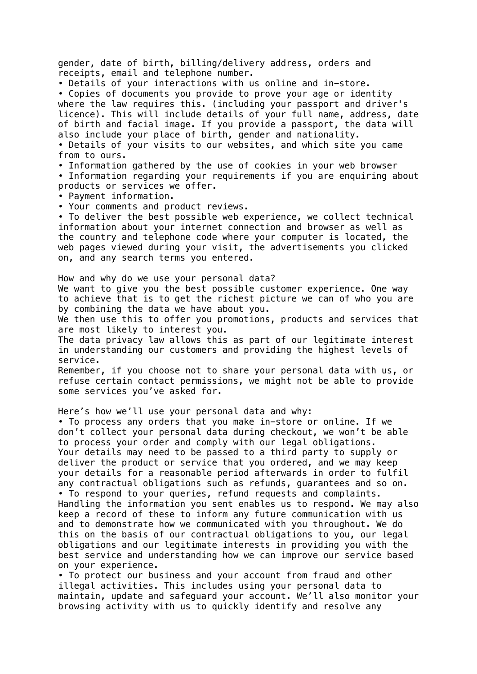gender, date of birth, billing/delivery address, orders and receipts, email and telephone number.

• Details of your interactions with us online and in-store.

• Copies of documents you provide to prove your age or identity where the law requires this. (including your passport and driver's licence). This will include details of your full name, address, date of birth and facial image. If you provide a passport, the data will also include your place of birth, gender and nationality.

• Details of your visits to our websites, and which site you came from to ours.

• Information gathered by the use of cookies in your web browser • Information regarding your requirements if you are enquiring about products or services we offer.

• Payment information.

• Your comments and product reviews.

• To deliver the best possible web experience, we collect technical information about your internet connection and browser as well as the country and telephone code where your computer is located, the web pages viewed during your visit, the advertisements you clicked on, and any search terms you entered.

How and why do we use your personal data? We want to give you the best possible customer experience. One way to achieve that is to get the richest picture we can of who you are by combining the data we have about you.

We then use this to offer you promotions, products and services that are most likely to interest you.

The data privacy law allows this as part of our legitimate interest in understanding our customers and providing the highest levels of service.

Remember, if you choose not to share your personal data with us, or refuse certain contact permissions, we might not be able to provide some services you've asked for.

Here's how we'll use your personal data and why:

• To process any orders that you make in-store or online. If we don't collect your personal data during checkout, we won't be able to process your order and comply with our legal obligations. Your details may need to be passed to a third party to supply or deliver the product or service that you ordered, and we may keep your details for a reasonable period afterwards in order to fulfil any contractual obligations such as refunds, guarantees and so on. • To respond to your queries, refund requests and complaints. Handling the information you sent enables us to respond. We may also keep a record of these to inform any future communication with us and to demonstrate how we communicated with you throughout. We do this on the basis of our contractual obligations to you, our legal obligations and our legitimate interests in providing you with the best service and understanding how we can improve our service based on your experience.

• To protect our business and your account from fraud and other illegal activities. This includes using your personal data to maintain, update and safeguard your account. We'll also monitor your browsing activity with us to quickly identify and resolve any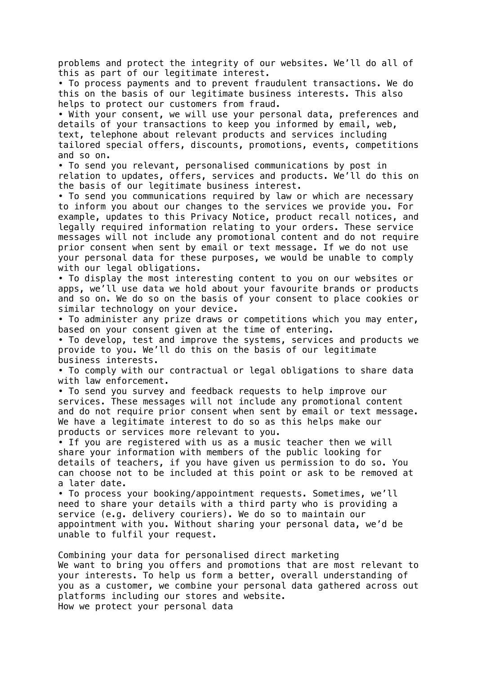problems and protect the integrity of our websites. We'll do all of this as part of our legitimate interest.

• To process payments and to prevent fraudulent transactions. We do this on the basis of our legitimate business interests. This also helps to protect our customers from fraud.

• With your consent, we will use your personal data, preferences and details of your transactions to keep you informed by email, web, text, telephone about relevant products and services including tailored special offers, discounts, promotions, events, competitions and so on.

• To send you relevant, personalised communications by post in relation to updates, offers, services and products. We'll do this on the basis of our legitimate business interest.

• To send you communications required by law or which are necessary to inform you about our changes to the services we provide you. For example, updates to this Privacy Notice, product recall notices, and legally required information relating to your orders. These service messages will not include any promotional content and do not require prior consent when sent by email or text message. If we do not use your personal data for these purposes, we would be unable to comply with our legal obligations.

• To display the most interesting content to you on our websites or apps, we'll use data we hold about your favourite brands or products and so on. We do so on the basis of your consent to place cookies or similar technology on your device.

• To administer any prize draws or competitions which you may enter, based on your consent given at the time of entering.

• To develop, test and improve the systems, services and products we provide to you. We'll do this on the basis of our legitimate business interests.

• To comply with our contractual or legal obligations to share data with law enforcement.

• To send you survey and feedback requests to help improve our services. These messages will not include any promotional content and do not require prior consent when sent by email or text message. We have a legitimate interest to do so as this helps make our products or services more relevant to you.

• If you are registered with us as a music teacher then we will share your information with members of the public looking for details of teachers, if you have given us permission to do so. You can choose not to be included at this point or ask to be removed at a later date.

• To process your booking/appointment requests. Sometimes, we'll need to share your details with a third party who is providing a service (e.g. delivery couriers). We do so to maintain our appointment with you. Without sharing your personal data, we'd be unable to fulfil your request.

Combining your data for personalised direct marketing We want to bring you offers and promotions that are most relevant to your interests. To help us form a better, overall understanding of you as a customer, we combine your personal data gathered across out platforms including our stores and website. How we protect your personal data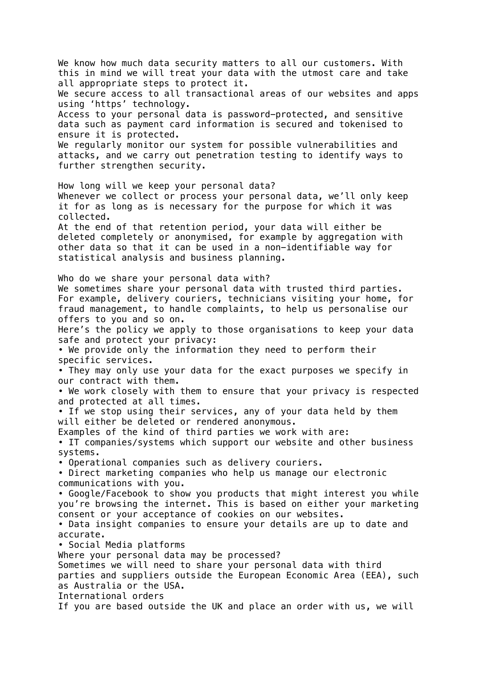We know how much data security matters to all our customers. With this in mind we will treat your data with the utmost care and take all appropriate steps to protect it. We secure access to all transactional areas of our websites and apps using 'https' technology. Access to your personal data is password-protected, and sensitive data such as payment card information is secured and tokenised to ensure it is protected. We regularly monitor our system for possible vulnerabilities and attacks, and we carry out penetration testing to identify ways to further strengthen security. How long will we keep your personal data? Whenever we collect or process your personal data, we'll only keep it for as long as is necessary for the purpose for which it was collected. At the end of that retention period, your data will either be deleted completely or anonymised, for example by aggregation with other data so that it can be used in a non-identifiable way for statistical analysis and business planning. Who do we share your personal data with? We sometimes share your personal data with trusted third parties. For example, delivery couriers, technicians visiting your home, for fraud management, to handle complaints, to help us personalise our offers to you and so on. Here's the policy we apply to those organisations to keep your data safe and protect your privacy: • We provide only the information they need to perform their specific services. • They may only use your data for the exact purposes we specify in our contract with them. • We work closely with them to ensure that your privacy is respected and protected at all times. • If we stop using their services, any of your data held by them will either be deleted or rendered anonymous. Examples of the kind of third parties we work with are: • IT companies/systems which support our website and other business systems. • Operational companies such as delivery couriers. • Direct marketing companies who help us manage our electronic communications with you. • Google/Facebook to show you products that might interest you while you're browsing the internet. This is based on either your marketing consent or your acceptance of cookies on our websites. • Data insight companies to ensure your details are up to date and accurate. • Social Media platforms Where your personal data may be processed? Sometimes we will need to share your personal data with third parties and suppliers outside the European Economic Area (EEA), such as Australia or the USA. International orders If you are based outside the UK and place an order with us, we will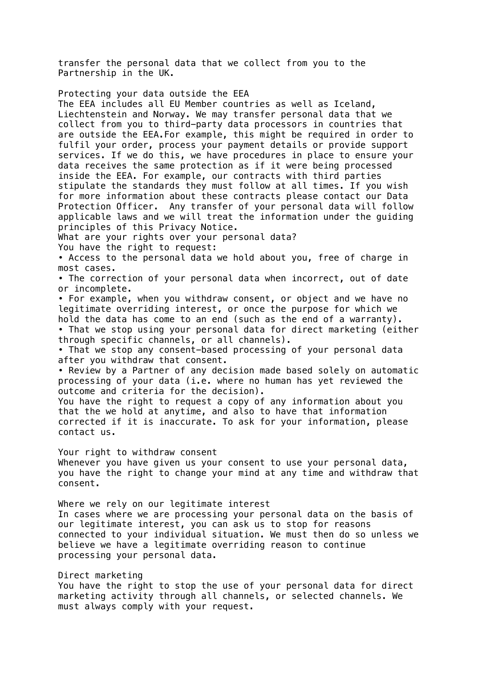transfer the personal data that we collect from you to the Partnership in the UK.

Protecting your data outside the EEA

The EEA includes all EU Member countries as well as Iceland, Liechtenstein and Norway. We may transfer personal data that we collect from you to third-party data processors in countries that are outside the EEA.For example, this might be required in order to fulfil your order, process your payment details or provide support services. If we do this, we have procedures in place to ensure your data receives the same protection as if it were being processed inside the EEA. For example, our contracts with third parties stipulate the standards they must follow at all times. If you wish for more information about these contracts please contact our Data Protection Officer. Any transfer of your personal data will follow applicable laws and we will treat the information under the guiding principles of this Privacy Notice.

What are your rights over your personal data?

You have the right to request:

• Access to the personal data we hold about you, free of charge in most cases.

• The correction of your personal data when incorrect, out of date or incomplete.

• For example, when you withdraw consent, or object and we have no legitimate overriding interest, or once the purpose for which we hold the data has come to an end (such as the end of a warranty). • That we stop using your personal data for direct marketing (either

through specific channels, or all channels).

• That we stop any consent-based processing of your personal data after you withdraw that consent.

• Review by a Partner of any decision made based solely on automatic processing of your data (i.e. where no human has yet reviewed the outcome and criteria for the decision).

You have the right to request a copy of any information about you that the we hold at anytime, and also to have that information corrected if it is inaccurate. To ask for your information, please contact us.

Your right to withdraw consent

Whenever you have given us your consent to use your personal data, you have the right to change your mind at any time and withdraw that consent.

Where we rely on our legitimate interest In cases where we are processing your personal data on the basis of our legitimate interest, you can ask us to stop for reasons connected to your individual situation. We must then do so unless we believe we have a legitimate overriding reason to continue processing your personal data.

Direct marketing You have the right to stop the use of your personal data for direct marketing activity through all channels, or selected channels. We must always comply with your request.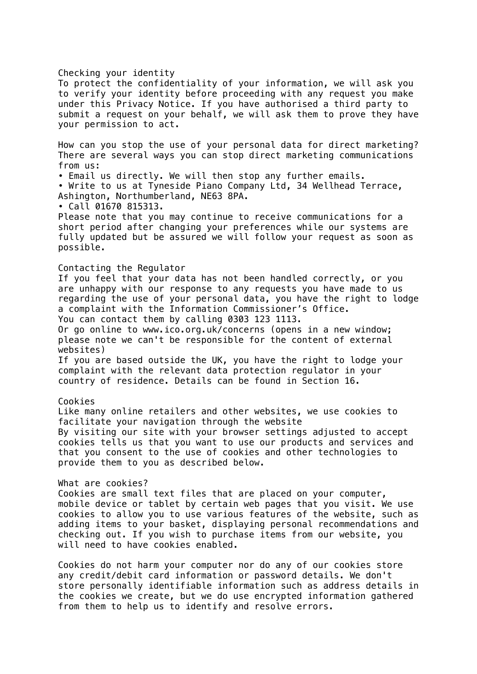## Checking your identity

To protect the confidentiality of your information, we will ask you to verify your identity before proceeding with any request you make under this Privacy Notice. If you have authorised a third party to submit a request on your behalf, we will ask them to prove they have your permission to act.

How can you stop the use of your personal data for direct marketing? There are several ways you can stop direct marketing communications from us:

• Email us directly. We will then stop any further emails.

• Write to us at Tyneside Piano Company Ltd, 34 Wellhead Terrace, Ashington, Northumberland, NE63 8PA.

• Call 01670 815313.

Please note that you may continue to receive communications for a short period after changing your preferences while our systems are fully updated but be assured we will follow your request as soon as possible.

# Contacting the Regulator

If you feel that your data has not been handled correctly, or you are unhappy with our response to any requests you have made to us regarding the use of your personal data, you have the right to lodge a complaint with the Information Commissioner's Office. You can contact them by calling 0303 123 1113.

Or go online to www.ico.org.uk/concerns (opens in a new window; please note we can't be responsible for the content of external websites)

If you are based outside the UK, you have the right to lodge your complaint with the relevant data protection regulator in your country of residence. Details can be found in Section 16.

## Cookies

Like many online retailers and other websites, we use cookies to facilitate your navigation through the website By visiting our site with your browser settings adjusted to accept cookies tells us that you want to use our products and services and that you consent to the use of cookies and other technologies to provide them to you as described below.

## What are cookies?

Cookies are small text files that are placed on your computer, mobile device or tablet by certain web pages that you visit. We use cookies to allow you to use various features of the website, such as adding items to your basket, displaying personal recommendations and checking out. If you wish to purchase items from our website, you will need to have cookies enabled.

Cookies do not harm your computer nor do any of our cookies store any credit/debit card information or password details. We don't store personally identifiable information such as address details in the cookies we create, but we do use encrypted information gathered from them to help us to identify and resolve errors.